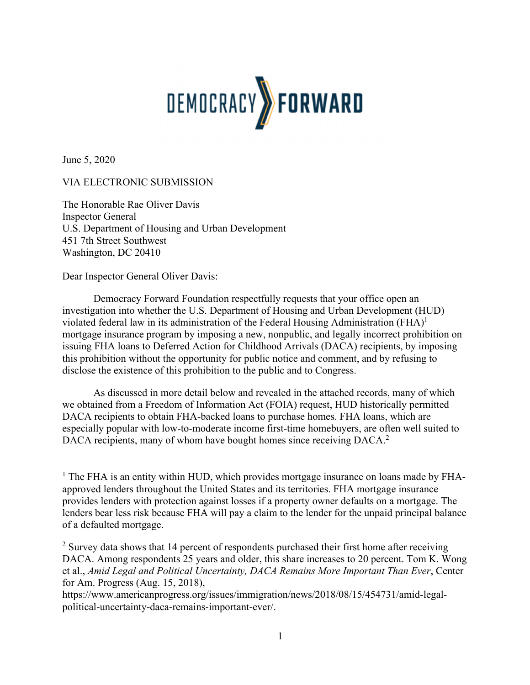

June 5, 2020

### VIA ELECTRONIC SUBMISSION

The Honorable Rae Oliver Davis Inspector General U.S. Department of Housing and Urban Development 451 7th Street Southwest Washington, DC 20410

Dear Inspector General Oliver Davis:

Democracy Forward Foundation respectfully requests that your office open an investigation into whether the U.S. Department of Housing and Urban Development (HUD) violated federal law in its administration of the Federal Housing Administration  $(FHA)^1$ mortgage insurance program by imposing a new, nonpublic, and legally incorrect prohibition on issuing FHA loans to Deferred Action for Childhood Arrivals (DACA) recipients, by imposing this prohibition without the opportunity for public notice and comment, and by refusing to disclose the existence of this prohibition to the public and to Congress.

As discussed in more detail below and revealed in the attached records, many of which we obtained from a Freedom of Information Act (FOIA) request, HUD historically permitted DACA recipients to obtain FHA-backed loans to purchase homes. FHA loans, which are especially popular with low-to-moderate income first-time homebuyers, are often well suited to DACA recipients, many of whom have bought homes since receiving DACA.<sup>2</sup>

<sup>&</sup>lt;sup>1</sup> The FHA is an entity within HUD, which provides mortgage insurance on loans made by FHAapproved lenders throughout the United States and its territories. FHA mortgage insurance provides lenders with protection against losses if a property owner defaults on a mortgage. The lenders bear less risk because FHA will pay a claim to the lender for the unpaid principal balance of a defaulted mortgage.

 $2$  Survey data shows that 14 percent of respondents purchased their first home after receiving DACA. Among respondents 25 years and older, this share increases to 20 percent. Tom K. Wong et al., *Amid Legal and Political Uncertainty, DACA Remains More Important Than Ever*, Center for Am. Progress (Aug. 15, 2018),

https://www.americanprogress.org/issues/immigration/news/2018/08/15/454731/amid-legalpolitical-uncertainty-daca-remains-important-ever/.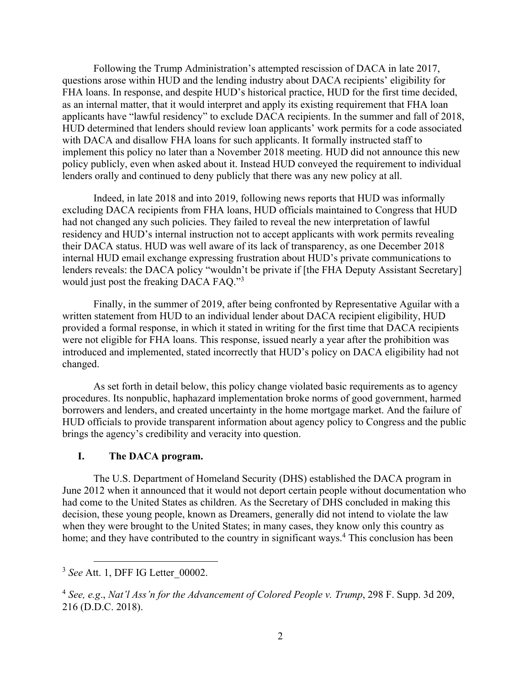Following the Trump Administration's attempted rescission of DACA in late 2017, questions arose within HUD and the lending industry about DACA recipients' eligibility for FHA loans. In response, and despite HUD's historical practice, HUD for the first time decided, as an internal matter, that it would interpret and apply its existing requirement that FHA loan applicants have "lawful residency" to exclude DACA recipients. In the summer and fall of 2018, HUD determined that lenders should review loan applicants' work permits for a code associated with DACA and disallow FHA loans for such applicants. It formally instructed staff to implement this policy no later than a November 2018 meeting. HUD did not announce this new policy publicly, even when asked about it. Instead HUD conveyed the requirement to individual lenders orally and continued to deny publicly that there was any new policy at all.

 Indeed, in late 2018 and into 2019, following news reports that HUD was informally excluding DACA recipients from FHA loans, HUD officials maintained to Congress that HUD had not changed any such policies. They failed to reveal the new interpretation of lawful residency and HUD's internal instruction not to accept applicants with work permits revealing their DACA status. HUD was well aware of its lack of transparency, as one December 2018 internal HUD email exchange expressing frustration about HUD's private communications to lenders reveals: the DACA policy "wouldn't be private if [the FHA Deputy Assistant Secretary] would just post the freaking DACA FAQ."<sup>3</sup>

Finally, in the summer of 2019, after being confronted by Representative Aguilar with a written statement from HUD to an individual lender about DACA recipient eligibility, HUD provided a formal response, in which it stated in writing for the first time that DACA recipients were not eligible for FHA loans. This response, issued nearly a year after the prohibition was introduced and implemented, stated incorrectly that HUD's policy on DACA eligibility had not changed.

 As set forth in detail below, this policy change violated basic requirements as to agency procedures. Its nonpublic, haphazard implementation broke norms of good government, harmed borrowers and lenders, and created uncertainty in the home mortgage market. And the failure of HUD officials to provide transparent information about agency policy to Congress and the public brings the agency's credibility and veracity into question.

#### **I. The DACA program.**

The U.S. Department of Homeland Security (DHS) established the DACA program in June 2012 when it announced that it would not deport certain people without documentation who had come to the United States as children. As the Secretary of DHS concluded in making this decision, these young people, known as Dreamers, generally did not intend to violate the law when they were brought to the United States; in many cases, they know only this country as home; and they have contributed to the country in significant ways.<sup>4</sup> This conclusion has been

<sup>&</sup>lt;sup>3</sup> See Att. 1, DFF IG Letter 00002.

<sup>4</sup> *See, e.g*., *Nat'l Ass'n for the Advancement of Colored People v. Trump*, 298 F. Supp. 3d 209, 216 (D.D.C. 2018).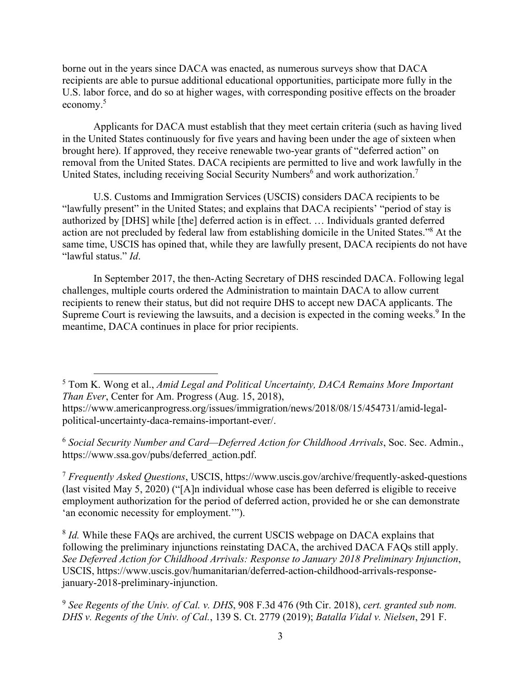borne out in the years since DACA was enacted, as numerous surveys show that DACA recipients are able to pursue additional educational opportunities, participate more fully in the U.S. labor force, and do so at higher wages, with corresponding positive effects on the broader economy.<sup>5</sup>

Applicants for DACA must establish that they meet certain criteria (such as having lived in the United States continuously for five years and having been under the age of sixteen when brought here). If approved, they receive renewable two-year grants of "deferred action" on removal from the United States. DACA recipients are permitted to live and work lawfully in the United States, including receiving Social Security Numbers<sup>6</sup> and work authorization.<sup>7</sup>

U.S. Customs and Immigration Services (USCIS) considers DACA recipients to be "lawfully present" in the United States; and explains that DACA recipients' "period of stay is authorized by [DHS] while [the] deferred action is in effect. … Individuals granted deferred action are not precluded by federal law from establishing domicile in the United States."<sup>8</sup> At the same time, USCIS has opined that, while they are lawfully present, DACA recipients do not have "lawful status." *Id*.

In September 2017, the then-Acting Secretary of DHS rescinded DACA. Following legal challenges, multiple courts ordered the Administration to maintain DACA to allow current recipients to renew their status, but did not require DHS to accept new DACA applicants. The Supreme Court is reviewing the lawsuits, and a decision is expected in the coming weeks.<sup>9</sup> In the meantime, DACA continues in place for prior recipients.

<sup>6</sup> *Social Security Number and Card—Deferred Action for Childhood Arrivals*, Soc. Sec. Admin., https://www.ssa.gov/pubs/deferred\_action.pdf.

<sup>7</sup> *Frequently Asked Questions*, USCIS, https://www.uscis.gov/archive/frequently-asked-questions (last visited May 5, 2020) ("[A]n individual whose case has been deferred is eligible to receive employment authorization for the period of deferred action, provided he or she can demonstrate 'an economic necessity for employment.'").

<sup>8</sup> *Id.* While these FAQs are archived, the current USCIS webpage on DACA explains that following the preliminary injunctions reinstating DACA, the archived DACA FAQs still apply. *See Deferred Action for Childhood Arrivals: Response to January 2018 Preliminary Injunction*, USCIS, https://www.uscis.gov/humanitarian/deferred-action-childhood-arrivals-responsejanuary-2018-preliminary-injunction.

<sup>9</sup> *See Regents of the Univ. of Cal. v. DHS*, 908 F.3d 476 (9th Cir. 2018), *cert. granted sub nom. DHS v. Regents of the Univ. of Cal.*, 139 S. Ct. 2779 (2019); *Batalla Vidal v. Nielsen*, 291 F.

<sup>5</sup> Tom K. Wong et al., *Amid Legal and Political Uncertainty, DACA Remains More Important Than Ever*, Center for Am. Progress (Aug. 15, 2018),

https://www.americanprogress.org/issues/immigration/news/2018/08/15/454731/amid-legalpolitical-uncertainty-daca-remains-important-ever/.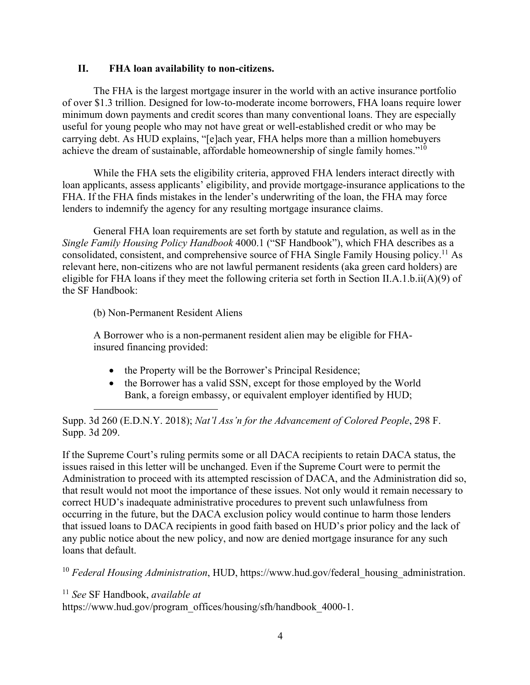## **II. FHA loan availability to non-citizens.**

The FHA is the largest mortgage insurer in the world with an active insurance portfolio of over \$1.3 trillion. Designed for low-to-moderate income borrowers, FHA loans require lower minimum down payments and credit scores than many conventional loans. They are especially useful for young people who may not have great or well-established credit or who may be carrying debt. As HUD explains, "[e]ach year, FHA helps more than a million homebuyers achieve the dream of sustainable, affordable homeownership of single family homes."10

While the FHA sets the eligibility criteria, approved FHA lenders interact directly with loan applicants, assess applicants' eligibility, and provide mortgage-insurance applications to the FHA. If the FHA finds mistakes in the lender's underwriting of the loan, the FHA may force lenders to indemnify the agency for any resulting mortgage insurance claims.

General FHA loan requirements are set forth by statute and regulation, as well as in the *Single Family Housing Policy Handbook* 4000.1 ("SF Handbook"), which FHA describes as a consolidated, consistent, and comprehensive source of FHA Single Family Housing policy.<sup>11</sup> As relevant here, non-citizens who are not lawful permanent residents (aka green card holders) are eligible for FHA loans if they meet the following criteria set forth in Section II.A.1.b.ii(A)(9) of the SF Handbook:

(b) Non-Permanent Resident Aliens

A Borrower who is a non-permanent resident alien may be eligible for FHAinsured financing provided:

- the Property will be the Borrower's Principal Residence;
- the Borrower has a valid SSN, except for those employed by the World Bank, a foreign embassy, or equivalent employer identified by HUD;

Supp. 3d 260 (E.D.N.Y. 2018); *Nat'l Ass'n for the Advancement of Colored People*, 298 F. Supp. 3d 209.

If the Supreme Court's ruling permits some or all DACA recipients to retain DACA status, the issues raised in this letter will be unchanged. Even if the Supreme Court were to permit the Administration to proceed with its attempted rescission of DACA, and the Administration did so, that result would not moot the importance of these issues. Not only would it remain necessary to correct HUD's inadequate administrative procedures to prevent such unlawfulness from occurring in the future, but the DACA exclusion policy would continue to harm those lenders that issued loans to DACA recipients in good faith based on HUD's prior policy and the lack of any public notice about the new policy, and now are denied mortgage insurance for any such loans that default.

<sup>10</sup> Federal Housing Administration, HUD, https://www.hud.gov/federal\_housing\_administration.

<sup>11</sup> *See* SF Handbook, *available at*

https://www.hud.gov/program\_offices/housing/sfh/handbook\_4000-1.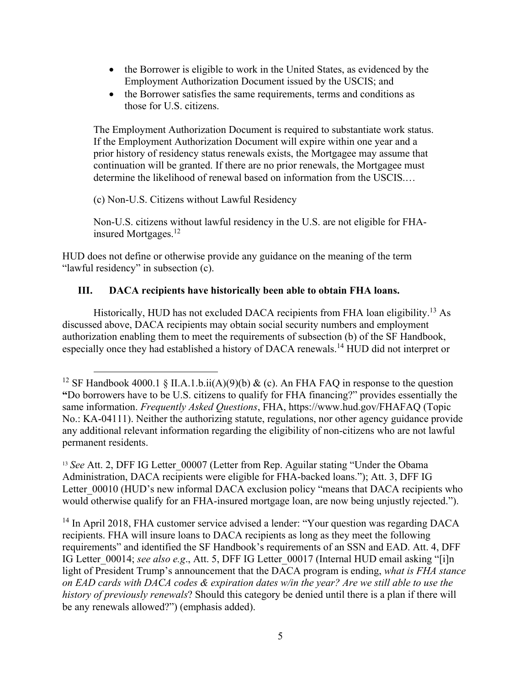- the Borrower is eligible to work in the United States, as evidenced by the Employment Authorization Document issued by the USCIS; and
- the Borrower satisfies the same requirements, terms and conditions as those for U.S. citizens.

The Employment Authorization Document is required to substantiate work status. If the Employment Authorization Document will expire within one year and a prior history of residency status renewals exists, the Mortgagee may assume that continuation will be granted. If there are no prior renewals, the Mortgagee must determine the likelihood of renewal based on information from the USCIS.…

(c) Non-U.S. Citizens without Lawful Residency

Non-U.S. citizens without lawful residency in the U.S. are not eligible for FHAinsured Mortgages.<sup>12</sup>

HUD does not define or otherwise provide any guidance on the meaning of the term "lawful residency" in subsection (c).

# **III. DACA recipients have historically been able to obtain FHA loans.**

Historically, HUD has not excluded DACA recipients from FHA loan eligibility.<sup>13</sup> As discussed above, DACA recipients may obtain social security numbers and employment authorization enabling them to meet the requirements of subsection (b) of the SF Handbook, especially once they had established a history of DACA renewals.14 HUD did not interpret or

<sup>14</sup> In April 2018, FHA customer service advised a lender: "Your question was regarding DACA recipients. FHA will insure loans to DACA recipients as long as they meet the following requirements" and identified the SF Handbook's requirements of an SSN and EAD. Att. 4, DFF IG Letter 00014; *see also e.g.*, Att. 5, DFF IG Letter 00017 (Internal HUD email asking "[i]n light of President Trump's announcement that the DACA program is ending, *what is FHA stance on EAD cards with DACA codes & expiration dates w/in the year? Are we still able to use the history of previously renewals*? Should this category be denied until there is a plan if there will be any renewals allowed?") (emphasis added).

<sup>&</sup>lt;sup>12</sup> SF Handbook 4000.1 § II.A.1.b.ii(A)(9)(b) & (c). An FHA FAQ in response to the question **"**Do borrowers have to be U.S. citizens to qualify for FHA financing?" provides essentially the same information. *Frequently Asked Questions*, FHA, https://www.hud.gov/FHAFAQ (Topic No.: KA-04111). Neither the authorizing statute, regulations, nor other agency guidance provide any additional relevant information regarding the eligibility of non-citizens who are not lawful permanent residents.

<sup>&</sup>lt;sup>13</sup> *See* Att. 2, DFF IG Letter 00007 (Letter from Rep. Aguilar stating "Under the Obama Administration, DACA recipients were eligible for FHA-backed loans."); Att. 3, DFF IG Letter 00010 (HUD's new informal DACA exclusion policy "means that DACA recipients who would otherwise qualify for an FHA-insured mortgage loan, are now being unjustly rejected.").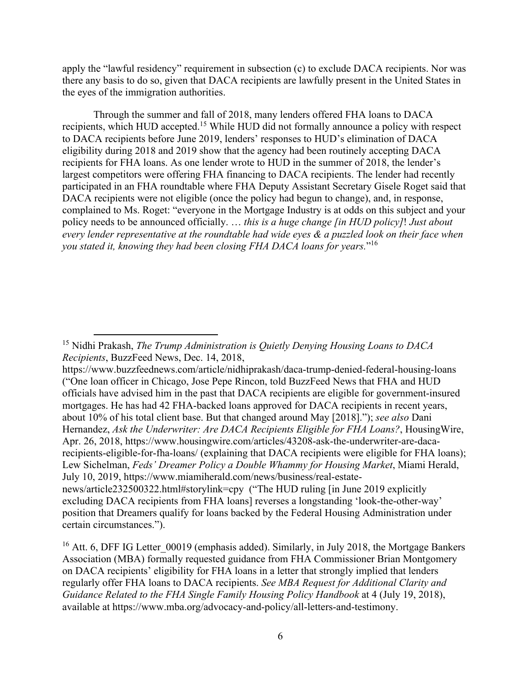apply the "lawful residency" requirement in subsection (c) to exclude DACA recipients. Nor was there any basis to do so, given that DACA recipients are lawfully present in the United States in the eyes of the immigration authorities.

 Through the summer and fall of 2018, many lenders offered FHA loans to DACA recipients, which HUD accepted.15 While HUD did not formally announce a policy with respect to DACA recipients before June 2019, lenders' responses to HUD's elimination of DACA eligibility during 2018 and 2019 show that the agency had been routinely accepting DACA recipients for FHA loans. As one lender wrote to HUD in the summer of 2018, the lender's largest competitors were offering FHA financing to DACA recipients. The lender had recently participated in an FHA roundtable where FHA Deputy Assistant Secretary Gisele Roget said that DACA recipients were not eligible (once the policy had begun to change), and, in response, complained to Ms. Roget: "everyone in the Mortgage Industry is at odds on this subject and your policy needs to be announced officially. … *this is a huge change [in HUD policy]*! *Just about every lender representative at the roundtable had wide eyes & a puzzled look on their face when you stated it, knowing they had been closing FHA DACA loans for years.*"16

https://www.buzzfeednews.com/article/nidhiprakash/daca-trump-denied-federal-housing-loans ("One loan officer in Chicago, Jose Pepe Rincon, told BuzzFeed News that FHA and HUD officials have advised him in the past that DACA recipients are eligible for government-insured mortgages. He has had 42 FHA-backed loans approved for DACA recipients in recent years, about 10% of his total client base. But that changed around May [2018]."); *see also* Dani Hernandez, *Ask the Underwriter: Are DACA Recipients Eligible for FHA Loans?*, HousingWire, Apr. 26, 2018, https://www.housingwire.com/articles/43208-ask-the-underwriter-are-dacarecipients-eligible-for-fha-loans/ (explaining that DACA recipients were eligible for FHA loans); Lew Sichelman, *Feds' Dreamer Policy a Double Whammy for Housing Market*, Miami Herald, July 10, 2019, https://www.miamiherald.com/news/business/real-estatenews/article232500322.html#storylink=cpy ("The HUD ruling [in June 2019 explicitly excluding DACA recipients from FHA loans] reverses a longstanding 'look-the-other-way' position that Dreamers qualify for loans backed by the Federal Housing Administration under

certain circumstances.").

<sup>16</sup> Att. 6, DFF IG Letter  $00019$  (emphasis added). Similarly, in July 2018, the Mortgage Bankers Association (MBA) formally requested guidance from FHA Commissioner Brian Montgomery on DACA recipients' eligibility for FHA loans in a letter that strongly implied that lenders regularly offer FHA loans to DACA recipients. *See MBA Request for Additional Clarity and Guidance Related to the FHA Single Family Housing Policy Handbook* at 4 (July 19, 2018), available at https://www.mba.org/advocacy-and-policy/all-letters-and-testimony.

<sup>15</sup> Nidhi Prakash, *The Trump Administration is Quietly Denying Housing Loans to DACA Recipients*, BuzzFeed News, Dec. 14, 2018,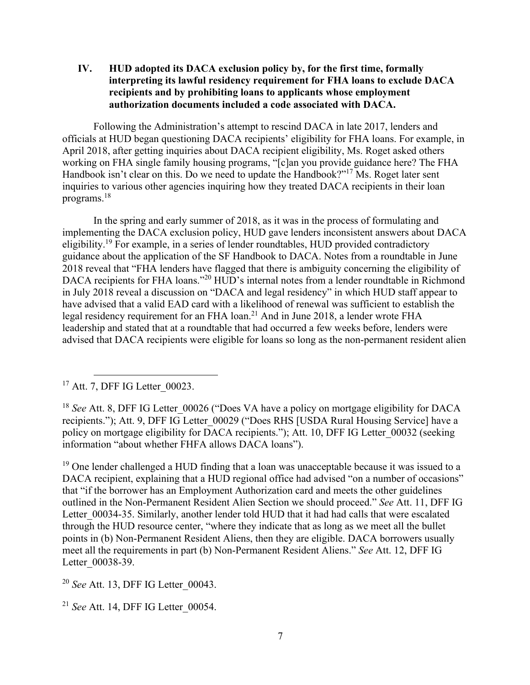### **IV. HUD adopted its DACA exclusion policy by, for the first time, formally interpreting its lawful residency requirement for FHA loans to exclude DACA recipients and by prohibiting loans to applicants whose employment authorization documents included a code associated with DACA.**

 Following the Administration's attempt to rescind DACA in late 2017, lenders and officials at HUD began questioning DACA recipients' eligibility for FHA loans. For example, in April 2018, after getting inquiries about DACA recipient eligibility, Ms. Roget asked others working on FHA single family housing programs, "[c]an you provide guidance here? The FHA Handbook isn't clear on this. Do we need to update the Handbook?"<sup>17</sup> Ms. Roget later sent inquiries to various other agencies inquiring how they treated DACA recipients in their loan programs.18

In the spring and early summer of 2018, as it was in the process of formulating and implementing the DACA exclusion policy, HUD gave lenders inconsistent answers about DACA eligibility.<sup>19</sup> For example, in a series of lender roundtables, HUD provided contradictory guidance about the application of the SF Handbook to DACA. Notes from a roundtable in June 2018 reveal that "FHA lenders have flagged that there is ambiguity concerning the eligibility of DACA recipients for FHA loans."<sup>20</sup> HUD's internal notes from a lender roundtable in Richmond in July 2018 reveal a discussion on "DACA and legal residency" in which HUD staff appear to have advised that a valid EAD card with a likelihood of renewal was sufficient to establish the legal residency requirement for an FHA loan.<sup>21</sup> And in June 2018, a lender wrote FHA leadership and stated that at a roundtable that had occurred a few weeks before, lenders were advised that DACA recipients were eligible for loans so long as the non-permanent resident alien

 $19$  One lender challenged a HUD finding that a loan was unacceptable because it was issued to a DACA recipient, explaining that a HUD regional office had advised "on a number of occasions" that "if the borrower has an Employment Authorization card and meets the other guidelines outlined in the Non-Permanent Resident Alien Section we should proceed." *See* Att. 11, DFF IG Letter 00034-35. Similarly, another lender told HUD that it had had calls that were escalated through the HUD resource center, "where they indicate that as long as we meet all the bullet points in (b) Non-Permanent Resident Aliens, then they are eligible. DACA borrowers usually meet all the requirements in part (b) Non-Permanent Resident Aliens." *See* Att. 12, DFF IG Letter 00038-39.

<sup>20</sup> *See* Att. 13, DFF IG Letter\_00043.

<sup>21</sup> *See* Att. 14, DFF IG Letter\_00054.

<sup>&</sup>lt;sup>17</sup> Att. 7, DFF IG Letter 00023.

<sup>&</sup>lt;sup>18</sup> *See* Att. 8, DFF IG Letter 00026 ("Does VA have a policy on mortgage eligibility for DACA recipients."); Att. 9, DFF IG Letter 00029 ("Does RHS [USDA Rural Housing Service] have a policy on mortgage eligibility for DACA recipients."); Att. 10, DFF IG Letter 00032 (seeking information "about whether FHFA allows DACA loans").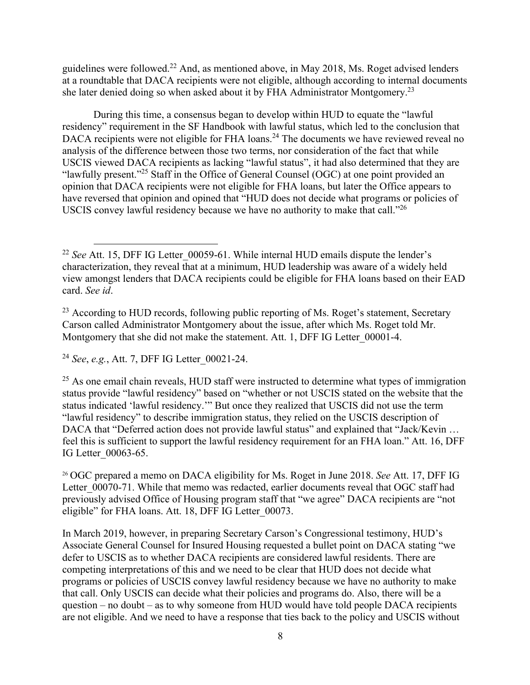guidelines were followed.22 And, as mentioned above, in May 2018, Ms. Roget advised lenders at a roundtable that DACA recipients were not eligible, although according to internal documents she later denied doing so when asked about it by FHA Administrator Montgomery.<sup>23</sup>

During this time, a consensus began to develop within HUD to equate the "lawful residency" requirement in the SF Handbook with lawful status, which led to the conclusion that DACA recipients were not eligible for FHA loans.<sup>24</sup> The documents we have reviewed reveal no analysis of the difference between those two terms, nor consideration of the fact that while USCIS viewed DACA recipients as lacking "lawful status", it had also determined that they are "lawfully present."25 Staff in the Office of General Counsel (OGC) at one point provided an opinion that DACA recipients were not eligible for FHA loans, but later the Office appears to have reversed that opinion and opined that "HUD does not decide what programs or policies of USCIS convey lawful residency because we have no authority to make that call."26

<sup>24</sup> *See*, *e.g.*, Att. 7, DFF IG Letter\_00021-24.

<sup>&</sup>lt;sup>22</sup> See Att. 15, DFF IG Letter 00059-61. While internal HUD emails dispute the lender's characterization, they reveal that at a minimum, HUD leadership was aware of a widely held view amongst lenders that DACA recipients could be eligible for FHA loans based on their EAD card. *See id*.

 $^{23}$  According to HUD records, following public reporting of Ms. Roget's statement, Secretary Carson called Administrator Montgomery about the issue, after which Ms. Roget told Mr. Montgomery that she did not make the statement. Att. 1, DFF IG Letter 00001-4.

 $25$  As one email chain reveals, HUD staff were instructed to determine what types of immigration status provide "lawful residency" based on "whether or not USCIS stated on the website that the status indicated 'lawful residency.'" But once they realized that USCIS did not use the term "lawful residency" to describe immigration status, they relied on the USCIS description of DACA that "Deferred action does not provide lawful status" and explained that "Jack/Kevin ... feel this is sufficient to support the lawful residency requirement for an FHA loan." Att. 16, DFF IG Letter\_00063-65.

<sup>26</sup> OGC prepared a memo on DACA eligibility for Ms. Roget in June 2018. *See* Att. 17, DFF IG Letter 00070-71. While that memo was redacted, earlier documents reveal that OGC staff had previously advised Office of Housing program staff that "we agree" DACA recipients are "not eligible" for FHA loans. Att. 18, DFF IG Letter 00073.

In March 2019, however, in preparing Secretary Carson's Congressional testimony, HUD's Associate General Counsel for Insured Housing requested a bullet point on DACA stating "we defer to USCIS as to whether DACA recipients are considered lawful residents. There are competing interpretations of this and we need to be clear that HUD does not decide what programs or policies of USCIS convey lawful residency because we have no authority to make that call. Only USCIS can decide what their policies and programs do. Also, there will be a question – no doubt – as to why someone from HUD would have told people DACA recipients are not eligible. And we need to have a response that ties back to the policy and USCIS without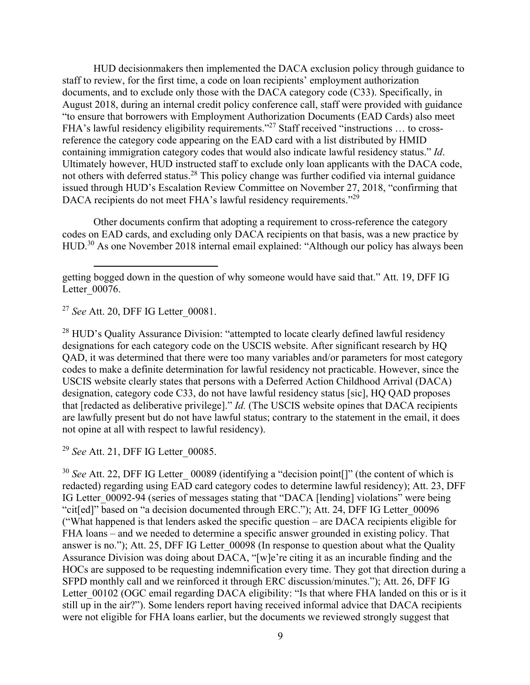HUD decisionmakers then implemented the DACA exclusion policy through guidance to staff to review, for the first time, a code on loan recipients' employment authorization documents, and to exclude only those with the DACA category code (C33). Specifically, in August 2018, during an internal credit policy conference call, staff were provided with guidance "to ensure that borrowers with Employment Authorization Documents (EAD Cards) also meet FHA's lawful residency eligibility requirements."<sup>27</sup> Staff received "instructions ... to crossreference the category code appearing on the EAD card with a list distributed by HMID containing immigration category codes that would also indicate lawful residency status." *Id*. Ultimately however, HUD instructed staff to exclude only loan applicants with the DACA code, not others with deferred status.28 This policy change was further codified via internal guidance issued through HUD's Escalation Review Committee on November 27, 2018, "confirming that DACA recipients do not meet FHA's lawful residency requirements."<sup>29</sup>

Other documents confirm that adopting a requirement to cross-reference the category codes on EAD cards, and excluding only DACA recipients on that basis, was a new practice by HUD.<sup>30</sup> As one November 2018 internal email explained: "Although our policy has always been

<sup>27</sup> *See* Att. 20, DFF IG Letter\_00081.

<sup>28</sup> HUD's Quality Assurance Division: "attempted to locate clearly defined lawful residency designations for each category code on the USCIS website. After significant research by HQ QAD, it was determined that there were too many variables and/or parameters for most category codes to make a definite determination for lawful residency not practicable. However, since the USCIS website clearly states that persons with a Deferred Action Childhood Arrival (DACA) designation, category code C33, do not have lawful residency status [sic], HQ QAD proposes that [redacted as deliberative privilege]." *Id.* (The USCIS website opines that DACA recipients are lawfully present but do not have lawful status; contrary to the statement in the email, it does not opine at all with respect to lawful residency).

<sup>29</sup> *See* Att. 21, DFF IG Letter\_00085.

<sup>30</sup> See Att. 22, DFF IG Letter 00089 (identifying a "decision point<sup>[]"</sup> (the content of which is redacted) regarding using EAD card category codes to determine lawful residency); Att. 23, DFF IG Letter 00092-94 (series of messages stating that "DACA [lending] violations" were being "cit[ed]" based on "a decision documented through ERC."); Att. 24, DFF IG Letter\_00096 ("What happened is that lenders asked the specific question – are DACA recipients eligible for FHA loans – and we needed to determine a specific answer grounded in existing policy. That answer is no."); Att. 25, DFF IG Letter 00098 (In response to question about what the Quality Assurance Division was doing about DACA, "[w]e're citing it as an incurable finding and the HOCs are supposed to be requesting indemnification every time. They got that direction during a SFPD monthly call and we reinforced it through ERC discussion/minutes."); Att. 26, DFF IG Letter 00102 (OGC email regarding DACA eligibility: "Is that where FHA landed on this or is it still up in the air?"). Some lenders report having received informal advice that DACA recipients were not eligible for FHA loans earlier, but the documents we reviewed strongly suggest that

getting bogged down in the question of why someone would have said that." Att. 19, DFF IG Letter\_00076.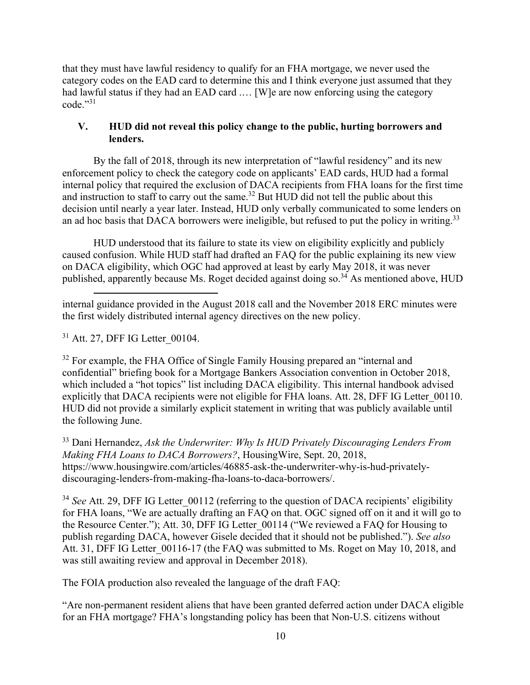that they must have lawful residency to qualify for an FHA mortgage, we never used the category codes on the EAD card to determine this and I think everyone just assumed that they had lawful status if they had an EAD card .... [W]e are now enforcing using the category code."31

## **V. HUD did not reveal this policy change to the public, hurting borrowers and lenders.**

 By the fall of 2018, through its new interpretation of "lawful residency" and its new enforcement policy to check the category code on applicants' EAD cards, HUD had a formal internal policy that required the exclusion of DACA recipients from FHA loans for the first time and instruction to staff to carry out the same.<sup>32</sup> But HUD did not tell the public about this decision until nearly a year later. Instead, HUD only verbally communicated to some lenders on an ad hoc basis that DACA borrowers were ineligible, but refused to put the policy in writing.<sup>33</sup>

HUD understood that its failure to state its view on eligibility explicitly and publicly caused confusion. While HUD staff had drafted an FAQ for the public explaining its new view on DACA eligibility, which OGC had approved at least by early May 2018, it was never published, apparently because Ms. Roget decided against doing so.34 As mentioned above, HUD

internal guidance provided in the August 2018 call and the November 2018 ERC minutes were the first widely distributed internal agency directives on the new policy.

<sup>31</sup> Att. 27, DFF IG Letter 00104.

 $32$  For example, the FHA Office of Single Family Housing prepared an "internal and confidential" briefing book for a Mortgage Bankers Association convention in October 2018, which included a "hot topics" list including DACA eligibility. This internal handbook advised explicitly that DACA recipients were not eligible for FHA loans. Att. 28, DFF IG Letter 00110. HUD did not provide a similarly explicit statement in writing that was publicly available until the following June.

33 Dani Hernandez, *Ask the Underwriter: Why Is HUD Privately Discouraging Lenders From Making FHA Loans to DACA Borrowers?*, HousingWire, Sept. 20, 2018, https://www.housingwire.com/articles/46885-ask-the-underwriter-why-is-hud-privatelydiscouraging-lenders-from-making-fha-loans-to-daca-borrowers/.

<sup>34</sup> See Att. 29, DFF IG Letter 00112 (referring to the question of DACA recipients' eligibility for FHA loans, "We are actually drafting an FAQ on that. OGC signed off on it and it will go to the Resource Center."); Att. 30, DFF IG Letter 00114 ("We reviewed a FAQ for Housing to publish regarding DACA, however Gisele decided that it should not be published."). *See also* Att. 31, DFF IG Letter 00116-17 (the FAQ was submitted to Ms. Roget on May 10, 2018, and was still awaiting review and approval in December 2018).

The FOIA production also revealed the language of the draft FAQ:

"Are non-permanent resident aliens that have been granted deferred action under DACA eligible for an FHA mortgage? FHA's longstanding policy has been that Non-U.S. citizens without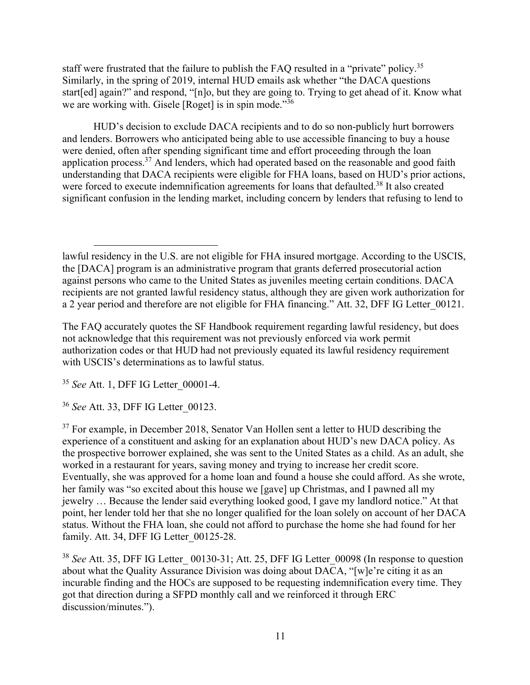staff were frustrated that the failure to publish the FAQ resulted in a "private" policy.<sup>35</sup> Similarly, in the spring of 2019, internal HUD emails ask whether "the DACA questions start[ed] again?" and respond, "[n]o, but they are going to. Trying to get ahead of it. Know what we are working with. Gisele [Roget] is in spin mode."<sup>36</sup>

HUD's decision to exclude DACA recipients and to do so non-publicly hurt borrowers and lenders. Borrowers who anticipated being able to use accessible financing to buy a house were denied, often after spending significant time and effort proceeding through the loan application process.<sup>37</sup> And lenders, which had operated based on the reasonable and good faith understanding that DACA recipients were eligible for FHA loans, based on HUD's prior actions, were forced to execute indemnification agreements for loans that defaulted.<sup>38</sup> It also created significant confusion in the lending market, including concern by lenders that refusing to lend to

lawful residency in the U.S. are not eligible for FHA insured mortgage. According to the USCIS, the [DACA] program is an administrative program that grants deferred prosecutorial action against persons who came to the United States as juveniles meeting certain conditions. DACA recipients are not granted lawful residency status, although they are given work authorization for a 2 year period and therefore are not eligible for FHA financing." Att. 32, DFF IG Letter 00121.

The FAQ accurately quotes the SF Handbook requirement regarding lawful residency, but does not acknowledge that this requirement was not previously enforced via work permit authorization codes or that HUD had not previously equated its lawful residency requirement with USCIS's determinations as to lawful status.

<sup>35</sup> *See* Att. 1, DFF IG Letter\_00001-4.

<sup>36</sup> *See* Att. 33, DFF IG Letter\_00123.

<sup>&</sup>lt;sup>37</sup> For example, in December 2018, Senator Van Hollen sent a letter to HUD describing the experience of a constituent and asking for an explanation about HUD's new DACA policy. As the prospective borrower explained, she was sent to the United States as a child. As an adult, she worked in a restaurant for years, saving money and trying to increase her credit score. Eventually, she was approved for a home loan and found a house she could afford. As she wrote, her family was "so excited about this house we [gave] up Christmas, and I pawned all my jewelry … Because the lender said everything looked good, I gave my landlord notice." At that point, her lender told her that she no longer qualified for the loan solely on account of her DACA status. Without the FHA loan, she could not afford to purchase the home she had found for her family. Att. 34, DFF IG Letter\_00125-28.

<sup>&</sup>lt;sup>38</sup> See Att. 35, DFF IG Letter 00130-31; Att. 25, DFF IG Letter 00098 (In response to question about what the Quality Assurance Division was doing about DACA, "[w]e're citing it as an incurable finding and the HOCs are supposed to be requesting indemnification every time. They got that direction during a SFPD monthly call and we reinforced it through ERC discussion/minutes.").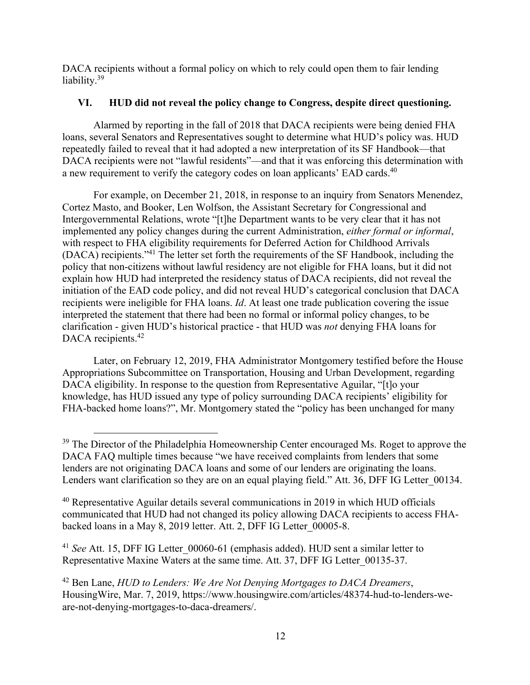DACA recipients without a formal policy on which to rely could open them to fair lending liability.<sup>39</sup>

## **VI. HUD did not reveal the policy change to Congress, despite direct questioning.**

 Alarmed by reporting in the fall of 2018 that DACA recipients were being denied FHA loans, several Senators and Representatives sought to determine what HUD's policy was. HUD repeatedly failed to reveal that it had adopted a new interpretation of its SF Handbook—that DACA recipients were not "lawful residents"—and that it was enforcing this determination with a new requirement to verify the category codes on loan applicants' EAD cards.<sup>40</sup>

For example, on December 21, 2018, in response to an inquiry from Senators Menendez, Cortez Masto, and Booker, Len Wolfson, the Assistant Secretary for Congressional and Intergovernmental Relations, wrote "[t]he Department wants to be very clear that it has not implemented any policy changes during the current Administration, *either formal or informal*, with respect to FHA eligibility requirements for Deferred Action for Childhood Arrivals (DACA) recipients."41 The letter set forth the requirements of the SF Handbook, including the policy that non-citizens without lawful residency are not eligible for FHA loans, but it did not explain how HUD had interpreted the residency status of DACA recipients, did not reveal the initiation of the EAD code policy, and did not reveal HUD's categorical conclusion that DACA recipients were ineligible for FHA loans. *Id*. At least one trade publication covering the issue interpreted the statement that there had been no formal or informal policy changes, to be clarification - given HUD's historical practice - that HUD was *not* denying FHA loans for DACA recipients.<sup>42</sup>

 Later, on February 12, 2019, FHA Administrator Montgomery testified before the House Appropriations Subcommittee on Transportation, Housing and Urban Development, regarding DACA eligibility. In response to the question from Representative Aguilar, "[t]o your knowledge, has HUD issued any type of policy surrounding DACA recipients' eligibility for FHA-backed home loans?", Mr. Montgomery stated the "policy has been unchanged for many

<sup>41</sup> See Att. 15, DFF IG Letter 00060-61 (emphasis added). HUD sent a similar letter to Representative Maxine Waters at the same time. Att. 37, DFF IG Letter 00135-37.

<sup>&</sup>lt;sup>39</sup> The Director of the Philadelphia Homeownership Center encouraged Ms. Roget to approve the DACA FAQ multiple times because "we have received complaints from lenders that some lenders are not originating DACA loans and some of our lenders are originating the loans. Lenders want clarification so they are on an equal playing field." Att. 36, DFF IG Letter 00134.

<sup>40</sup> Representative Aguilar details several communications in 2019 in which HUD officials communicated that HUD had not changed its policy allowing DACA recipients to access FHAbacked loans in a May 8, 2019 letter. Att. 2, DFF IG Letter 00005-8.

<sup>42</sup> Ben Lane, *HUD to Lenders: We Are Not Denying Mortgages to DACA Dreamers*, HousingWire, Mar. 7, 2019, https://www.housingwire.com/articles/48374-hud-to-lenders-weare-not-denying-mortgages-to-daca-dreamers/.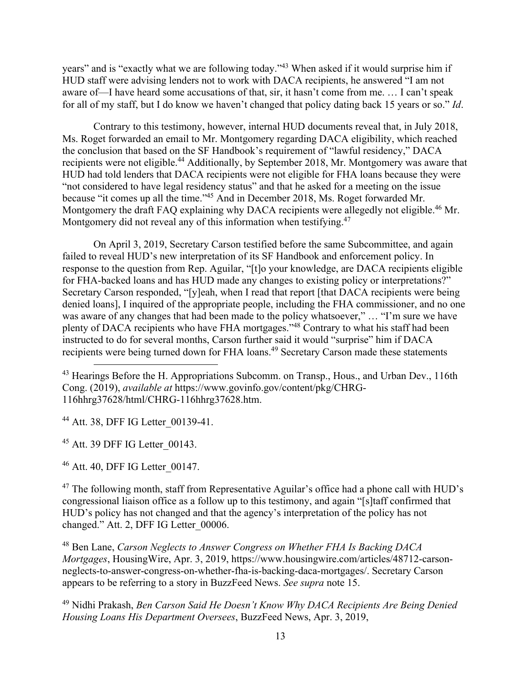years" and is "exactly what we are following today."43 When asked if it would surprise him if HUD staff were advising lenders not to work with DACA recipients, he answered "I am not aware of—I have heard some accusations of that, sir, it hasn't come from me. … I can't speak for all of my staff, but I do know we haven't changed that policy dating back 15 years or so." *Id*.

Contrary to this testimony, however, internal HUD documents reveal that, in July 2018, Ms. Roget forwarded an email to Mr. Montgomery regarding DACA eligibility, which reached the conclusion that based on the SF Handbook's requirement of "lawful residency," DACA recipients were not eligible.<sup>44</sup> Additionally, by September 2018, Mr. Montgomery was aware that HUD had told lenders that DACA recipients were not eligible for FHA loans because they were "not considered to have legal residency status" and that he asked for a meeting on the issue because "it comes up all the time."45 And in December 2018, Ms. Roget forwarded Mr. Montgomery the draft FAQ explaining why DACA recipients were allegedly not eligible.<sup>46</sup> Mr. Montgomery did not reveal any of this information when testifying.<sup>47</sup>

 On April 3, 2019, Secretary Carson testified before the same Subcommittee, and again failed to reveal HUD's new interpretation of its SF Handbook and enforcement policy. In response to the question from Rep. Aguilar, "[t]o your knowledge, are DACA recipients eligible for FHA-backed loans and has HUD made any changes to existing policy or interpretations?" Secretary Carson responded, "[y]eah, when I read that report [that DACA recipients were being denied loans], I inquired of the appropriate people, including the FHA commissioner, and no one was aware of any changes that had been made to the policy whatsoever," … "I'm sure we have plenty of DACA recipients who have FHA mortgages."<sup>48</sup> Contrary to what his staff had been instructed to do for several months, Carson further said it would "surprise" him if DACA recipients were being turned down for FHA loans.<sup>49</sup> Secretary Carson made these statements

<sup>44</sup> Att. 38, DFF IG Letter 00139-41.

45 Att. 39 DFF IG Letter\_00143.

46 Att. 40, DFF IG Letter\_00147.

 $47$  The following month, staff from Representative Aguilar's office had a phone call with HUD's congressional liaison office as a follow up to this testimony, and again "[s]taff confirmed that HUD's policy has not changed and that the agency's interpretation of the policy has not changed." Att. 2, DFF IG Letter\_00006.

48 Ben Lane, *Carson Neglects to Answer Congress on Whether FHA Is Backing DACA Mortgages*, HousingWire, Apr. 3, 2019, https://www.housingwire.com/articles/48712-carsonneglects-to-answer-congress-on-whether-fha-is-backing-daca-mortgages/. Secretary Carson appears to be referring to a story in BuzzFeed News. *See supra* note 15.

49 Nidhi Prakash, *Ben Carson Said He Doesn't Know Why DACA Recipients Are Being Denied Housing Loans His Department Oversees*, BuzzFeed News, Apr. 3, 2019,

<sup>&</sup>lt;sup>43</sup> Hearings Before the H. Appropriations Subcomm. on Transp., Hous., and Urban Dev., 116th Cong. (2019), *available at* https://www.govinfo.gov/content/pkg/CHRG-116hhrg37628/html/CHRG-116hhrg37628.htm.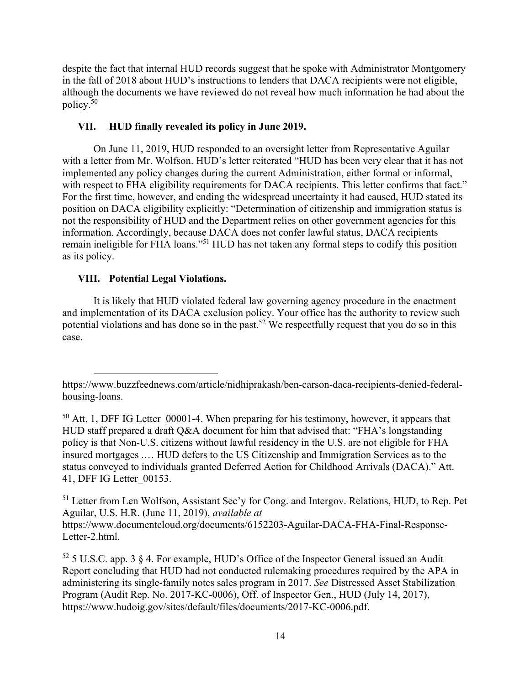despite the fact that internal HUD records suggest that he spoke with Administrator Montgomery in the fall of 2018 about HUD's instructions to lenders that DACA recipients were not eligible, although the documents we have reviewed do not reveal how much information he had about the policy.50

#### **VII. HUD finally revealed its policy in June 2019.**

 On June 11, 2019, HUD responded to an oversight letter from Representative Aguilar with a letter from Mr. Wolfson. HUD's letter reiterated "HUD has been very clear that it has not implemented any policy changes during the current Administration, either formal or informal, with respect to FHA eligibility requirements for DACA recipients. This letter confirms that fact." For the first time, however, and ending the widespread uncertainty it had caused, HUD stated its position on DACA eligibility explicitly: "Determination of citizenship and immigration status is not the responsibility of HUD and the Department relies on other government agencies for this information. Accordingly, because DACA does not confer lawful status, DACA recipients remain ineligible for FHA loans."51 HUD has not taken any formal steps to codify this position as its policy.

### **VIII. Potential Legal Violations.**

It is likely that HUD violated federal law governing agency procedure in the enactment and implementation of its DACA exclusion policy. Your office has the authority to review such potential violations and has done so in the past.<sup>52</sup> We respectfully request that you do so in this case.

<sup>51</sup> Letter from Len Wolfson, Assistant Sec'y for Cong. and Intergov. Relations, HUD, to Rep. Pet Aguilar, U.S. H.R. (June 11, 2019), *available at* https://www.documentcloud.org/documents/6152203-Aguilar-DACA-FHA-Final-Response-Letter-2.html.

 $52$  5 U.S.C. app. 3  $\S$  4. For example, HUD's Office of the Inspector General issued an Audit Report concluding that HUD had not conducted rulemaking procedures required by the APA in administering its single-family notes sales program in 2017. *See* Distressed Asset Stabilization Program (Audit Rep. No. 2017-KC-0006), Off. of Inspector Gen., HUD (July 14, 2017), https://www.hudoig.gov/sites/default/files/documents/2017-KC-0006.pdf.

https://www.buzzfeednews.com/article/nidhiprakash/ben-carson-daca-recipients-denied-federalhousing-loans.

 $50$  Att. 1, DFF IG Letter 00001-4. When preparing for his testimony, however, it appears that HUD staff prepared a draft Q&A document for him that advised that: "FHA's longstanding policy is that Non-U.S. citizens without lawful residency in the U.S. are not eligible for FHA insured mortgages .… HUD defers to the US Citizenship and Immigration Services as to the status conveyed to individuals granted Deferred Action for Childhood Arrivals (DACA)." Att. 41, DFF IG Letter\_00153.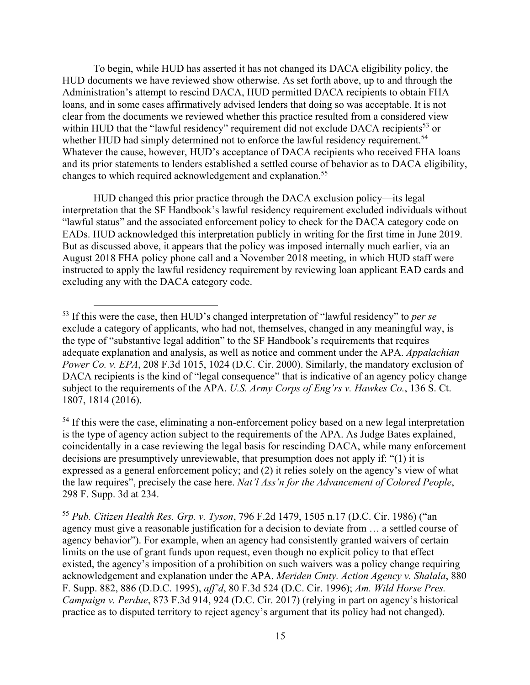To begin, while HUD has asserted it has not changed its DACA eligibility policy, the HUD documents we have reviewed show otherwise. As set forth above, up to and through the Administration's attempt to rescind DACA, HUD permitted DACA recipients to obtain FHA loans, and in some cases affirmatively advised lenders that doing so was acceptable. It is not clear from the documents we reviewed whether this practice resulted from a considered view within HUD that the "lawful residency" requirement did not exclude DACA recipients<sup>53</sup> or whether HUD had simply determined not to enforce the lawful residency requirement.<sup>54</sup> Whatever the cause, however, HUD's acceptance of DACA recipients who received FHA loans and its prior statements to lenders established a settled course of behavior as to DACA eligibility, changes to which required acknowledgement and explanation.<sup>55</sup>

HUD changed this prior practice through the DACA exclusion policy—its legal interpretation that the SF Handbook's lawful residency requirement excluded individuals without "lawful status" and the associated enforcement policy to check for the DACA category code on EADs. HUD acknowledged this interpretation publicly in writing for the first time in June 2019. But as discussed above, it appears that the policy was imposed internally much earlier, via an August 2018 FHA policy phone call and a November 2018 meeting, in which HUD staff were instructed to apply the lawful residency requirement by reviewing loan applicant EAD cards and excluding any with the DACA category code.

<sup>54</sup> If this were the case, eliminating a non-enforcement policy based on a new legal interpretation is the type of agency action subject to the requirements of the APA. As Judge Bates explained, coincidentally in a case reviewing the legal basis for rescinding DACA, while many enforcement decisions are presumptively unreviewable, that presumption does not apply if: "(1) it is expressed as a general enforcement policy; and (2) it relies solely on the agency's view of what the law requires", precisely the case here. *Nat'l Ass'n for the Advancement of Colored People*, 298 F. Supp. 3d at 234.

<sup>53</sup> If this were the case, then HUD's changed interpretation of "lawful residency" to *per se* exclude a category of applicants, who had not, themselves, changed in any meaningful way, is the type of "substantive legal addition" to the SF Handbook's requirements that requires adequate explanation and analysis, as well as notice and comment under the APA. *Appalachian Power Co. v. EPA*, 208 F.3d 1015, 1024 (D.C. Cir. 2000). Similarly, the mandatory exclusion of DACA recipients is the kind of "legal consequence" that is indicative of an agency policy change subject to the requirements of the APA. *U.S. Army Corps of Eng'rs v. Hawkes Co.*, 136 S. Ct. 1807, 1814 (2016).

<sup>55</sup> *Pub. Citizen Health Res. Grp. v. Tyson*, 796 F.2d 1479, 1505 n.17 (D.C. Cir. 1986) ("an agency must give a reasonable justification for a decision to deviate from … a settled course of agency behavior"). For example, when an agency had consistently granted waivers of certain limits on the use of grant funds upon request, even though no explicit policy to that effect existed, the agency's imposition of a prohibition on such waivers was a policy change requiring acknowledgement and explanation under the APA. *Meriden Cmty. Action Agency v. Shalala*, 880 F. Supp. 882, 886 (D.D.C. 1995), *aff'd*, 80 F.3d 524 (D.C. Cir. 1996); *Am. Wild Horse Pres. Campaign v. Perdue*, 873 F.3d 914, 924 (D.C. Cir. 2017) (relying in part on agency's historical practice as to disputed territory to reject agency's argument that its policy had not changed).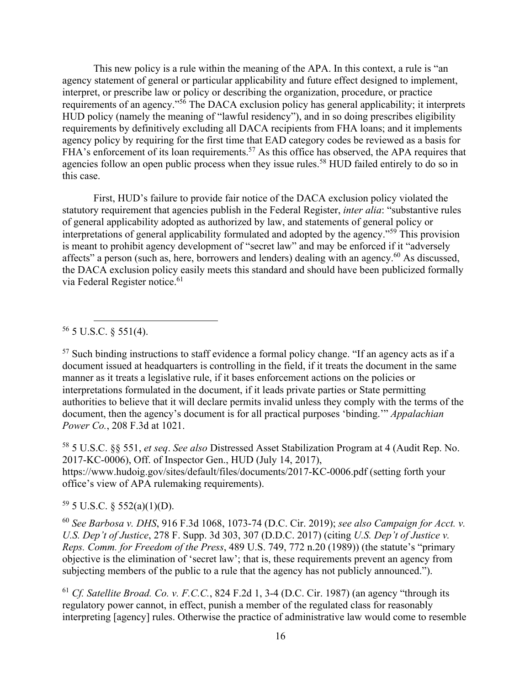This new policy is a rule within the meaning of the APA. In this context, a rule is "an agency statement of general or particular applicability and future effect designed to implement, interpret, or prescribe law or policy or describing the organization, procedure, or practice requirements of an agency."56 The DACA exclusion policy has general applicability; it interprets HUD policy (namely the meaning of "lawful residency"), and in so doing prescribes eligibility requirements by definitively excluding all DACA recipients from FHA loans; and it implements agency policy by requiring for the first time that EAD category codes be reviewed as a basis for FHA's enforcement of its loan requirements.<sup>57</sup> As this office has observed, the APA requires that agencies follow an open public process when they issue rules.<sup>58</sup> HUD failed entirely to do so in this case.

First, HUD's failure to provide fair notice of the DACA exclusion policy violated the statutory requirement that agencies publish in the Federal Register, *inter alia*: "substantive rules of general applicability adopted as authorized by law, and statements of general policy or interpretations of general applicability formulated and adopted by the agency."59 This provision is meant to prohibit agency development of "secret law" and may be enforced if it "adversely affects" a person (such as, here, borrowers and lenders) dealing with an agency.<sup>60</sup> As discussed, the DACA exclusion policy easily meets this standard and should have been publicized formally via Federal Register notice.<sup>61</sup>

<sup>57</sup> Such binding instructions to staff evidence a formal policy change. "If an agency acts as if a document issued at headquarters is controlling in the field, if it treats the document in the same manner as it treats a legislative rule, if it bases enforcement actions on the policies or interpretations formulated in the document, if it leads private parties or State permitting authorities to believe that it will declare permits invalid unless they comply with the terms of the document, then the agency's document is for all practical purposes 'binding.'" *Appalachian Power Co.*, 208 F.3d at 1021.

58 5 U.S.C. §§ 551, *et seq*. *See also* Distressed Asset Stabilization Program at 4 (Audit Rep. No. 2017-KC-0006), Off. of Inspector Gen., HUD (July 14, 2017), https://www.hudoig.gov/sites/default/files/documents/2017-KC-0006.pdf (setting forth your office's view of APA rulemaking requirements).

 $59$  5 U.S.C. § 552(a)(1)(D).

<sup>60</sup> *See Barbosa v. DHS*, 916 F.3d 1068, 1073-74 (D.C. Cir. 2019); *see also Campaign for Acct. v. U.S. Dep't of Justice*, 278 F. Supp. 3d 303, 307 (D.D.C. 2017) (citing *U.S. Dep't of Justice v. Reps. Comm. for Freedom of the Press*, 489 U.S. 749, 772 n.20 (1989)) (the statute's "primary objective is the elimination of 'secret law'; that is, these requirements prevent an agency from subjecting members of the public to a rule that the agency has not publicly announced.").

<sup>61</sup> *Cf. Satellite Broad. Co. v. F.C.C.*, 824 F.2d 1, 3-4 (D.C. Cir. 1987) (an agency "through its regulatory power cannot, in effect, punish a member of the regulated class for reasonably interpreting [agency] rules. Otherwise the practice of administrative law would come to resemble

 $56$  5 U.S.C. § 551(4).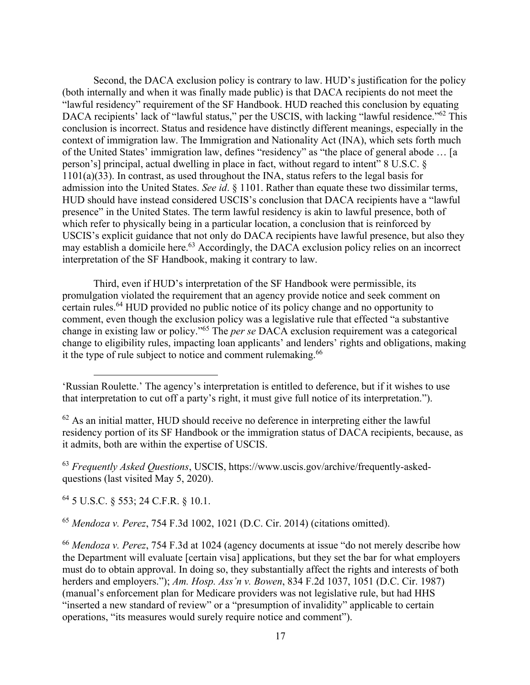Second, the DACA exclusion policy is contrary to law. HUD's justification for the policy (both internally and when it was finally made public) is that DACA recipients do not meet the "lawful residency" requirement of the SF Handbook. HUD reached this conclusion by equating DACA recipients' lack of "lawful status," per the USCIS, with lacking "lawful residence."<sup>62</sup> This conclusion is incorrect. Status and residence have distinctly different meanings, especially in the context of immigration law. The Immigration and Nationality Act (INA), which sets forth much of the United States' immigration law, defines "residency" as "the place of general abode … [a person's] principal, actual dwelling in place in fact, without regard to intent" 8 U.S.C. § 1101(a)(33). In contrast, as used throughout the INA, status refers to the legal basis for admission into the United States. *See id*. § 1101. Rather than equate these two dissimilar terms, HUD should have instead considered USCIS's conclusion that DACA recipients have a "lawful presence" in the United States. The term lawful residency is akin to lawful presence, both of which refer to physically being in a particular location, a conclusion that is reinforced by USCIS's explicit guidance that not only do DACA recipients have lawful presence, but also they may establish a domicile here.<sup>63</sup> Accordingly, the DACA exclusion policy relies on an incorrect interpretation of the SF Handbook, making it contrary to law.

Third, even if HUD's interpretation of the SF Handbook were permissible, its promulgation violated the requirement that an agency provide notice and seek comment on certain rules.64 HUD provided no public notice of its policy change and no opportunity to comment, even though the exclusion policy was a legislative rule that effected "a substantive change in existing law or policy."65 The *per se* DACA exclusion requirement was a categorical change to eligibility rules, impacting loan applicants' and lenders' rights and obligations, making it the type of rule subject to notice and comment rulemaking.<sup>66</sup>

 $62$  As an initial matter, HUD should receive no deference in interpreting either the lawful residency portion of its SF Handbook or the immigration status of DACA recipients, because, as it admits, both are within the expertise of USCIS.

<sup>63</sup> *Frequently Asked Questions*, USCIS, https://www.uscis.gov/archive/frequently-askedquestions (last visited May 5, 2020).

64 5 U.S.C. § 553; 24 C.F.R. § 10.1.

<sup>65</sup> *Mendoza v. Perez*, 754 F.3d 1002, 1021 (D.C. Cir. 2014) (citations omitted).

<sup>66</sup> *Mendoza v. Perez*, 754 F.3d at 1024 (agency documents at issue "do not merely describe how the Department will evaluate [certain visa] applications, but they set the bar for what employers must do to obtain approval. In doing so, they substantially affect the rights and interests of both herders and employers."); *Am. Hosp. Ass'n v. Bowen*, 834 F.2d 1037, 1051 (D.C. Cir. 1987) (manual's enforcement plan for Medicare providers was not legislative rule, but had HHS "inserted a new standard of review" or a "presumption of invalidity" applicable to certain operations, "its measures would surely require notice and comment").

<sup>&#</sup>x27;Russian Roulette.' The agency's interpretation is entitled to deference, but if it wishes to use that interpretation to cut off a party's right, it must give full notice of its interpretation.").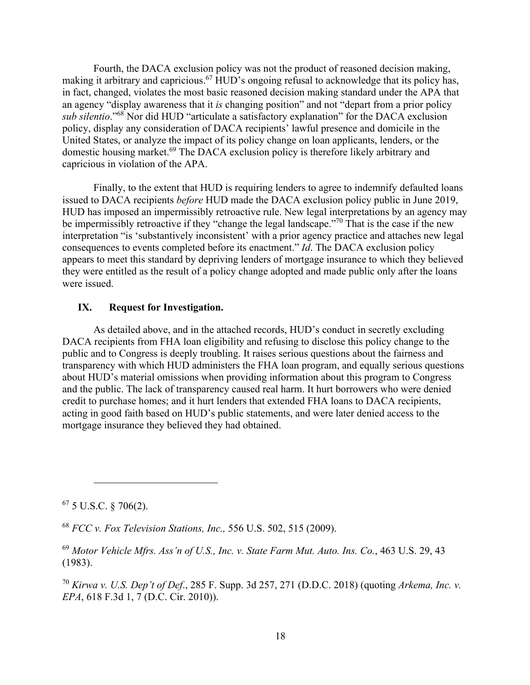Fourth, the DACA exclusion policy was not the product of reasoned decision making, making it arbitrary and capricious.<sup>67</sup> HUD's ongoing refusal to acknowledge that its policy has, in fact, changed, violates the most basic reasoned decision making standard under the APA that an agency "display awareness that it *is* changing position" and not "depart from a prior policy *sub silentio*."68 Nor did HUD "articulate a satisfactory explanation" for the DACA exclusion policy, display any consideration of DACA recipients' lawful presence and domicile in the United States, or analyze the impact of its policy change on loan applicants, lenders, or the domestic housing market.69 The DACA exclusion policy is therefore likely arbitrary and capricious in violation of the APA.

Finally, to the extent that HUD is requiring lenders to agree to indemnify defaulted loans issued to DACA recipients *before* HUD made the DACA exclusion policy public in June 2019, HUD has imposed an impermissibly retroactive rule. New legal interpretations by an agency may be impermissibly retroactive if they "change the legal landscape."<sup>70</sup> That is the case if the new interpretation "is 'substantively inconsistent' with a prior agency practice and attaches new legal consequences to events completed before its enactment." *Id*. The DACA exclusion policy appears to meet this standard by depriving lenders of mortgage insurance to which they believed they were entitled as the result of a policy change adopted and made public only after the loans were issued.

#### **IX. Request for Investigation.**

As detailed above, and in the attached records, HUD's conduct in secretly excluding DACA recipients from FHA loan eligibility and refusing to disclose this policy change to the public and to Congress is deeply troubling. It raises serious questions about the fairness and transparency with which HUD administers the FHA loan program, and equally serious questions about HUD's material omissions when providing information about this program to Congress and the public. The lack of transparency caused real harm. It hurt borrowers who were denied credit to purchase homes; and it hurt lenders that extended FHA loans to DACA recipients, acting in good faith based on HUD's public statements, and were later denied access to the mortgage insurance they believed they had obtained.

 $67$  5 U.S.C. § 706(2).

<sup>68</sup> *FCC v. Fox Television Stations, Inc.,* 556 U.S. 502, 515 (2009).

<sup>69</sup> *Motor Vehicle Mfrs. Ass'n of U.S., Inc. v. State Farm Mut. Auto. Ins. Co.*, 463 U.S. 29, 43 (1983).

<sup>70</sup> *Kirwa v. U.S. Dep't of Def*., 285 F. Supp. 3d 257, 271 (D.D.C. 2018) (quoting *Arkema, Inc. v. EPA*, 618 F.3d 1, 7 (D.C. Cir. 2010)).